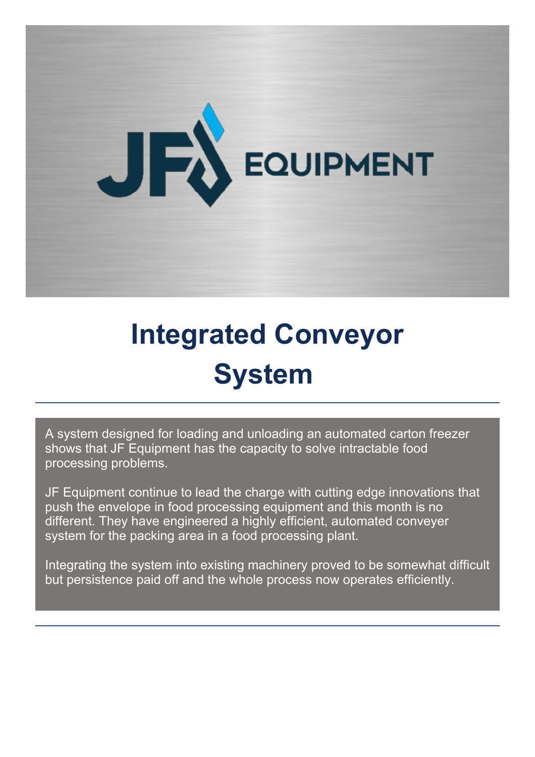

## **Integrated Conveyor System**

A system designed for loading and unloading an automated carton freezer shows that JF Equipment has the capacity to solve intractable food processing problems.

JF Equipment continue to lead the charge with cutting edge innovations that push the envelope in food processing equipment and this month is no different. They have engineered a highly efficient, automated conveyer system for the packing area in a food processing plant.

Integrating the system into existing machinery proved to be somewhat difficult but persistence paid off and the whole process now operates efficiently.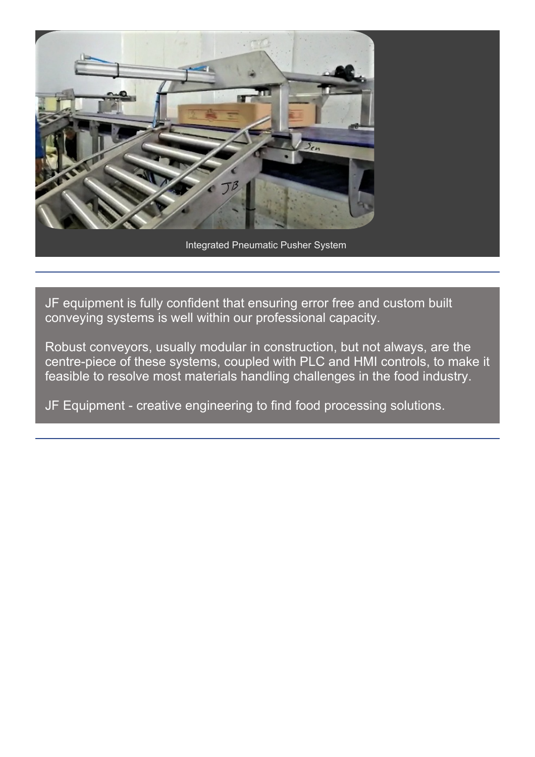

JF equipment is fully confident that ensuring error free and custom built conveying systems is well within our professional capacity.

Robust conveyors, usually modular in construction, but not always, are the centre-piece of these systems, coupled with PLC and HMI controls, to make it feasible to resolve most materials handling challenges in the food industry.

JF Equipment - creative engineering to find food processing solutions.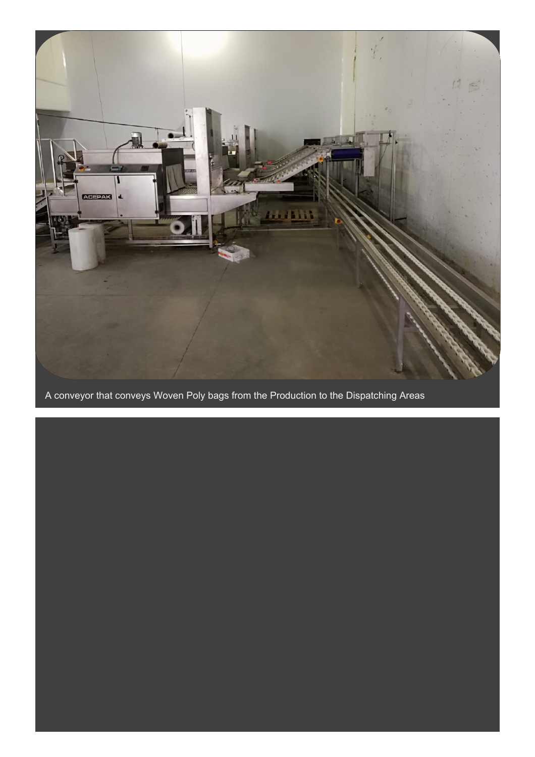

A conveyor that conveys Woven Poly bags from the Production to the Dispatching Areas